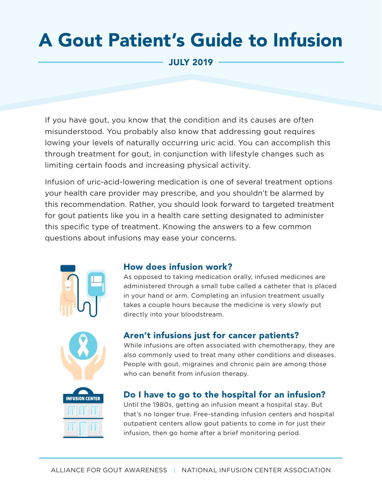# A Gout Patient's Guide to Infusion

JULY 2019

If you have gout, you know that the condition and its causes are often misunderstood. You probably also know that addressing gout requires lowing your levels of naturally occurring uric acid. You can accomplish this through treatment for gout, in conjunction with lifestyle changes such as limiting certain foods and increasing physical activity.

Infusion of uric-acid-lowering medication is one of several treatment options your health care provider may prescribe, and you shouldn't be alarmed by this recommendation. Rather, you should look forward to targeted treatment for gout patients like you in a health care setting designated to administer this specific type of treatment. Knowing the answers to a few common questions about infusions may ease your concerns.







### How does infusion work?

As opposed to taking medication orally, infused medicines are administered through a small tube called a catheter that is placed in your hand or arm. Completing an infusion treatment usually takes a couple hours because the medicine is very slowly put directly into your bloodstream.

### Aren't infusions just for cancer patients?

While infusions are often associated with chemotherapy, they are also commonly used to treat many other conditions and diseases. People with gout, migraines and chronic pain are among those who can benefit from infusion therapy.

### Do I have to go to the hospital for an infusion?

Until the 1980s, getting an infusion meant a hospital stay. But that's no longer true. Free-standing infusion centers and hospital outpatient centers allow gout patients to come in for just their infusion, then go home after a brief monitoring period.